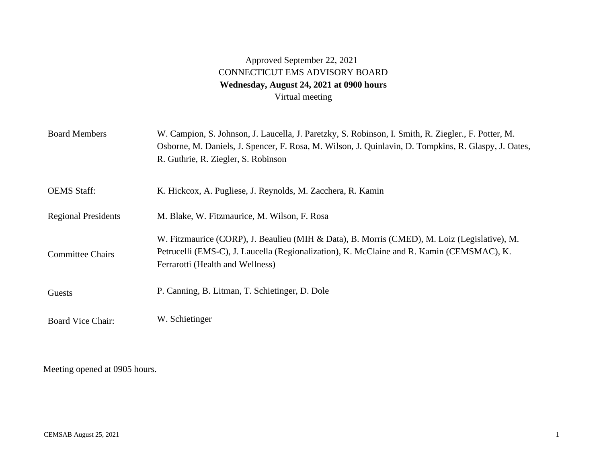## Approved September 22, 2021 CONNECTICUT EMS ADVISORY BOARD **Wednesday, August 24, 2021 at 0900 hours**  Virtual meeting

| <b>Board Members</b>       | W. Campion, S. Johnson, J. Laucella, J. Paretzky, S. Robinson, I. Smith, R. Ziegler., F. Potter, M.<br>Osborne, M. Daniels, J. Spencer, F. Rosa, M. Wilson, J. Quinlavin, D. Tompkins, R. Glaspy, J. Oates,<br>R. Guthrie, R. Ziegler, S. Robinson |
|----------------------------|----------------------------------------------------------------------------------------------------------------------------------------------------------------------------------------------------------------------------------------------------|
| <b>OEMS</b> Staff:         | K. Hickcox, A. Pugliese, J. Reynolds, M. Zacchera, R. Kamin                                                                                                                                                                                        |
| <b>Regional Presidents</b> | M. Blake, W. Fitzmaurice, M. Wilson, F. Rosa                                                                                                                                                                                                       |
| <b>Committee Chairs</b>    | W. Fitzmaurice (CORP), J. Beaulieu (MIH & Data), B. Morris (CMED), M. Loiz (Legislative), M.<br>Petrucelli (EMS-C), J. Laucella (Regionalization), K. McClaine and R. Kamin (CEMSMAC), K.<br>Ferrarotti (Health and Wellness)                      |
| Guests                     | P. Canning, B. Litman, T. Schietinger, D. Dole                                                                                                                                                                                                     |
| <b>Board Vice Chair:</b>   | W. Schietinger                                                                                                                                                                                                                                     |

Meeting opened at 0905 hours.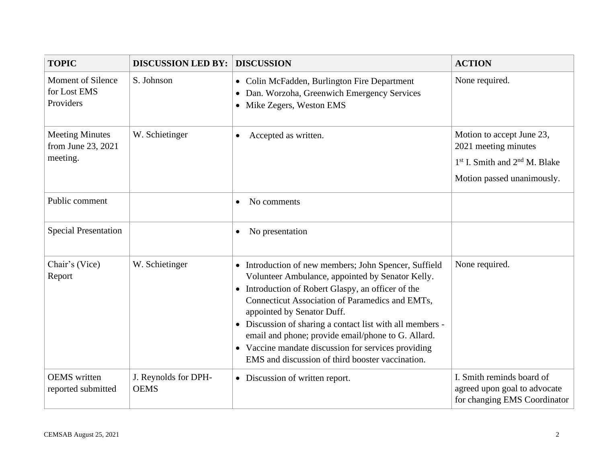| <b>TOPIC</b>                                             | <b>DISCUSSION LED BY:</b>           | <b>DISCUSSION</b>                                                                                                                                                                                                                                                                                                                                                                                                                                                                                               | <b>ACTION</b>                                                                                                                            |
|----------------------------------------------------------|-------------------------------------|-----------------------------------------------------------------------------------------------------------------------------------------------------------------------------------------------------------------------------------------------------------------------------------------------------------------------------------------------------------------------------------------------------------------------------------------------------------------------------------------------------------------|------------------------------------------------------------------------------------------------------------------------------------------|
| <b>Moment of Silence</b><br>for Lost EMS<br>Providers    | S. Johnson                          | • Colin McFadden, Burlington Fire Department<br>Dan. Worzoha, Greenwich Emergency Services<br>$\bullet$<br>Mike Zegers, Weston EMS<br>$\bullet$                                                                                                                                                                                                                                                                                                                                                                 | None required.                                                                                                                           |
| <b>Meeting Minutes</b><br>from June 23, 2021<br>meeting. | W. Schietinger                      | Accepted as written.<br>$\bullet$                                                                                                                                                                                                                                                                                                                                                                                                                                                                               | Motion to accept June 23,<br>2021 meeting minutes<br>1 <sup>st</sup> I. Smith and 2 <sup>nd</sup> M. Blake<br>Motion passed unanimously. |
| Public comment                                           |                                     | No comments<br>$\bullet$                                                                                                                                                                                                                                                                                                                                                                                                                                                                                        |                                                                                                                                          |
| <b>Special Presentation</b>                              |                                     | No presentation<br>$\bullet$                                                                                                                                                                                                                                                                                                                                                                                                                                                                                    |                                                                                                                                          |
| Chair's (Vice)<br>Report                                 | W. Schietinger                      | Introduction of new members; John Spencer, Suffield<br>$\bullet$<br>Volunteer Ambulance, appointed by Senator Kelly.<br>Introduction of Robert Glaspy, an officer of the<br>$\bullet$<br>Connecticut Association of Paramedics and EMTs,<br>appointed by Senator Duff.<br>Discussion of sharing a contact list with all members -<br>$\bullet$<br>email and phone; provide email/phone to G. Allard.<br>• Vaccine mandate discussion for services providing<br>EMS and discussion of third booster vaccination. | None required.                                                                                                                           |
| <b>OEMS</b> written<br>reported submitted                | J. Reynolds for DPH-<br><b>OEMS</b> | • Discussion of written report.                                                                                                                                                                                                                                                                                                                                                                                                                                                                                 | I. Smith reminds board of<br>agreed upon goal to advocate<br>for changing EMS Coordinator                                                |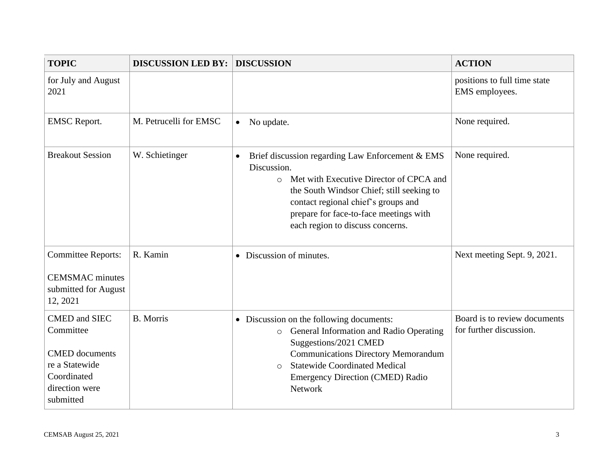| <b>TOPIC</b>                                                                                                               | <b>DISCUSSION LED BY:</b> | <b>DISCUSSION</b>                                                                                                                                                                                                                                                                                    | <b>ACTION</b>                                           |
|----------------------------------------------------------------------------------------------------------------------------|---------------------------|------------------------------------------------------------------------------------------------------------------------------------------------------------------------------------------------------------------------------------------------------------------------------------------------------|---------------------------------------------------------|
| for July and August<br>2021                                                                                                |                           |                                                                                                                                                                                                                                                                                                      | positions to full time state<br>EMS employees.          |
| <b>EMSC</b> Report.                                                                                                        | M. Petrucelli for EMSC    | No update.<br>$\bullet$                                                                                                                                                                                                                                                                              | None required.                                          |
| <b>Breakout Session</b>                                                                                                    | W. Schietinger            | Brief discussion regarding Law Enforcement & EMS<br>$\bullet$<br>Discussion.<br>Met with Executive Director of CPCA and<br>$\circ$<br>the South Windsor Chief; still seeking to<br>contact regional chief's groups and<br>prepare for face-to-face meetings with<br>each region to discuss concerns. | None required.                                          |
| <b>Committee Reports:</b><br><b>CEMSMAC</b> minutes<br>submitted for August<br>12, 2021                                    | R. Kamin                  | • Discussion of minutes.                                                                                                                                                                                                                                                                             | Next meeting Sept. 9, 2021.                             |
| <b>CMED</b> and SIEC<br>Committee<br><b>CMED</b> documents<br>re a Statewide<br>Coordinated<br>direction were<br>submitted | <b>B.</b> Morris          | • Discussion on the following documents:<br>General Information and Radio Operating<br>$\circ$<br>Suggestions/2021 CMED<br><b>Communications Directory Memorandum</b><br><b>Statewide Coordinated Medical</b><br>$\Omega$<br>Emergency Direction (CMED) Radio<br>Network                             | Board is to review documents<br>for further discussion. |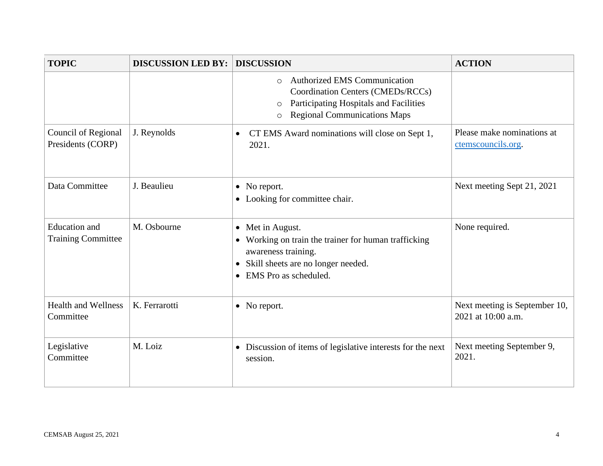| <b>TOPIC</b>                                      | <b>DISCUSSION LED BY:</b> | <b>DISCUSSION</b>                                                                                                                                                                                 | <b>ACTION</b>                                       |
|---------------------------------------------------|---------------------------|---------------------------------------------------------------------------------------------------------------------------------------------------------------------------------------------------|-----------------------------------------------------|
|                                                   |                           | <b>Authorized EMS Communication</b><br>$\circ$<br><b>Coordination Centers (CMEDs/RCCs)</b><br>Participating Hospitals and Facilities<br>$\circ$<br><b>Regional Communications Maps</b><br>$\circ$ |                                                     |
| Council of Regional<br>Presidents (CORP)          | J. Reynolds               | CT EMS Award nominations will close on Sept 1,<br>$\bullet$<br>2021.                                                                                                                              | Please make nominations at<br>ctemscouncils.org.    |
| Data Committee                                    | J. Beaulieu               | • No report.<br>• Looking for committee chair.                                                                                                                                                    | Next meeting Sept 21, 2021                          |
| <b>Education</b> and<br><b>Training Committee</b> | M. Osbourne               | • Met in August.<br>• Working on train the trainer for human trafficking<br>awareness training.<br>• Skill sheets are no longer needed.<br>EMS Pro as scheduled.<br>$\bullet$                     | None required.                                      |
| <b>Health and Wellness</b><br>Committee           | K. Ferrarotti             | • No report.                                                                                                                                                                                      | Next meeting is September 10,<br>2021 at 10:00 a.m. |
| Legislative<br>Committee                          | M. Loiz                   | • Discussion of items of legislative interests for the next<br>session.                                                                                                                           | Next meeting September 9,<br>2021.                  |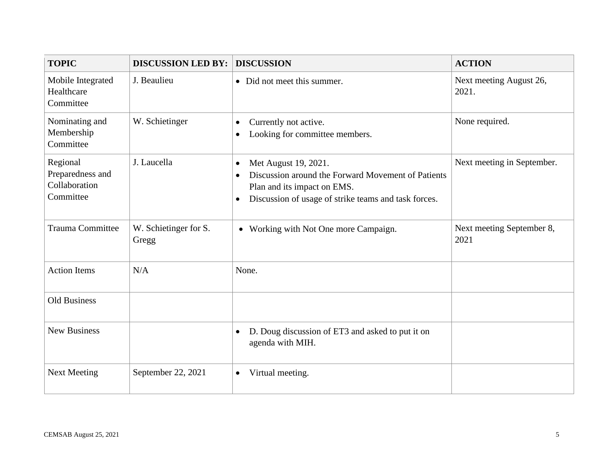| <b>TOPIC</b>                                               | <b>DISCUSSION LED BY:</b>      | <b>DISCUSSION</b>                                                                                                                                                                                        | <b>ACTION</b>                     |
|------------------------------------------------------------|--------------------------------|----------------------------------------------------------------------------------------------------------------------------------------------------------------------------------------------------------|-----------------------------------|
| Mobile Integrated<br>Healthcare<br>Committee               | J. Beaulieu                    | • Did not meet this summer.                                                                                                                                                                              | Next meeting August 26,<br>2021.  |
| Nominating and<br>Membership<br>Committee                  | W. Schietinger                 | Currently not active.<br>$\bullet$<br>Looking for committee members.<br>$\bullet$                                                                                                                        | None required.                    |
| Regional<br>Preparedness and<br>Collaboration<br>Committee | J. Laucella                    | Met August 19, 2021.<br>$\bullet$<br>Discussion around the Forward Movement of Patients<br>$\bullet$<br>Plan and its impact on EMS.<br>Discussion of usage of strike teams and task forces.<br>$\bullet$ | Next meeting in September.        |
| <b>Trauma Committee</b>                                    | W. Schietinger for S.<br>Gregg | • Working with Not One more Campaign.                                                                                                                                                                    | Next meeting September 8,<br>2021 |
| <b>Action Items</b>                                        | N/A                            | None.                                                                                                                                                                                                    |                                   |
| <b>Old Business</b>                                        |                                |                                                                                                                                                                                                          |                                   |
| <b>New Business</b>                                        |                                | D. Doug discussion of ET3 and asked to put it on<br>$\bullet$<br>agenda with MIH.                                                                                                                        |                                   |
| <b>Next Meeting</b>                                        | September 22, 2021             | Virtual meeting.<br>$\bullet$                                                                                                                                                                            |                                   |